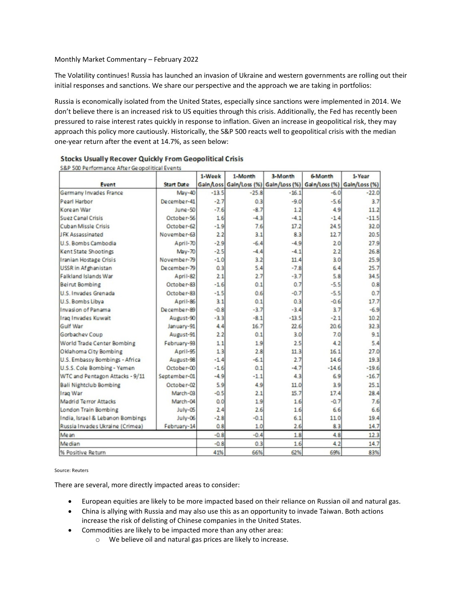Monthly Market Commentary – February 2022

The Volatility continues! Russia has launched an invasion of Ukraine and western governments are rolling out their initial responses and sanctions. We share our perspective and the approach we are taking in portfolios:

Russia is economically isolated from the United States, especially since sanctions were implemented in 2014. We don't believe there is an increased risk to US equities through this crisis. Additionally, the Fed has recently been pressured to raise interest rates quickly in response to inflation. Given an increase in geopolitical risk, they may approach this policy more cautiously. Historically, the S&P 500 reacts well to geopolitical crisis with the median one-year return after the event at 14.7%, as seen below:

|                                  |                   | 1-Week  | 1-Month | 3-Month | 6-Month                                                           | 1-Year  |
|----------------------------------|-------------------|---------|---------|---------|-------------------------------------------------------------------|---------|
| <b>Event</b>                     | <b>Start Date</b> |         |         |         | Gain/Loss Gain/Loss (%) Gain/Loss (%) Gain/Loss (%) Gain/Loss (%) |         |
| Germany Invades France           | $May-40$          | $-13.5$ | $-25.8$ | $-16.1$ | $-6.0$                                                            | $-22.0$ |
| Pearl Harbor                     | December-41       | $-2.7$  | 0.3     | $-9.0$  | $-5.6$                                                            | 3.7     |
| Korean War                       | June-50           | $-7.6$  | $-8.7$  | 1.2     | 4.9                                                               | 11.2    |
| Suez Canal Crisis                | October-56        | 16      | $-4.3$  | $-4.1$  | $-1.4$                                                            | $-11.5$ |
| <b>Cuban Missle Crisis</b>       | October-62        | $-1.9$  | 7.6     | 17.2    | 24.5                                                              | 32.0    |
| <b>JFK Assassinated</b>          | November-63       | 2.2     | 3.1     | 8.3     | 12.7                                                              | 20.5    |
| U.S. Bombs Cambodia              | April-70          | $-2.9$  | $-6.4$  | $-4.9$  | 20                                                                | 27.9    |
| Kent State Shootings             | <b>May-70</b>     | $-2.5$  | $-4.4$  | $-4.1$  | 22                                                                | 26.8    |
| Iranian Hostage Crisis           | November-79       | $-1.0$  | 3.2     | 11.4    | 3.0                                                               | 25.9    |
| <b>USSR</b> in Afghanistan       | December-79       | 0.3     | 5.4     | $-7.8$  | 6.4                                                               | 25.7    |
| Falkland Islands War             | April-82          | 2.1     | 2.7     | $-3.7$  | 5.8                                                               | 34.5    |
| <b>Beirut Bombing</b>            | October-83        | $-1.6$  | 0.1     | 0.7     | $-5.5$                                                            | 0.8     |
| <b>U.S. Invades Grenada</b>      | October-83        | $-1.5$  | 0.6     | $-0.7$  | $-5.5$                                                            | 0.7     |
| U.S. Bombs Libya                 | April-86          | 3.1     | 0.1     | 0.3     | $-0.6$                                                            | 17.7    |
| Invasion of Panama               | December-89       | $-0.8$  | $-3.7$  | $-3.4$  | 3.7                                                               | $-6.9$  |
| Iraq Invades Kuwait              | August-90         | $-3.3$  | $-8.1$  | $-13.5$ | $-2.1$                                                            | 10.2    |
| Gulf War                         | January-91        | 4.4     | 16.7    | 22.6    | 20.6                                                              | 32.3    |
| Gorbachev Coup                   | August-91         | 22      | 0.1     | 3.0     | 7.0                                                               | 9.1     |
| World Trade Center Bombing       | February-93       | 11      | 1.9     | 2.5     | 4.2                                                               | 5.4     |
| Oklahoma City Bombing            | April-95          | 13      | 2.8     | 11.3    | 16.1                                                              | 27.0    |
| U.S. Embassy Bombings - Africa   | August-98         | $-1.4$  | $-6.1$  | 2.7     | 14.6                                                              | 19.3    |
| U.S.S. Cole Bombing - Yemen      | October-00        | $-16$   | 0.1     | $-4.7$  | $-14.6$                                                           | $-19.6$ |
| WTC and Pentagon Attacks - 9/11  | September-01      | $-4.9$  | $-1.1$  | 4.3     | 6.9                                                               | $-16.7$ |
| <b>Bali Nightclub Bombing</b>    | October-02        | 5.9     | 4.9     | 11.0    | 3.9                                                               | 25.1    |
| Iraq War                         | March-03          | $-0.5$  | 2.1     | 15.7    | 17.4                                                              | 28.4    |
| Madrid Terror Attacks            | March-04          | 0.0     | 1.9     | 1.6     | $-0.7$                                                            | 7.6     |
| London Train Bombing             | July-05           | 2.4     | 2.6     | 1.6     | 6.6                                                               | 6.6     |
| India, Israel & Lebanon Bombings | July-06           | $-2.8$  | $-0.1$  | 6.1     | 11.0                                                              | 19.4    |
| Russia Invades Ukraine (Crimea)  | February-14       | 0.8     | 1.0     | 2.6     | 8.3                                                               | 14.7    |
| Me an                            |                   | $-0.8$  | $-0.4$  | 1.8     | 4.8                                                               | 12.3    |
| Me dian                          |                   | $-0.8$  | 0.3     | 1.6     | 4.2                                                               | 14.7    |
| % Positive Return                |                   | 41%     | 66%     | 62%     | 69%                                                               | 83%     |

## **Stocks Usually Recover Quickly From Geopolitical Crisis**

S&P 500 Performance After Geonolitical Events

## Source: Reuters

There are several, more directly impacted areas to consider:

- European equities are likely to be more impacted based on their reliance on Russian oil and natural gas.
- China is allying with Russia and may also use this as an opportunity to invade Taiwan. Both actions increase the risk of delisting of Chinese companies in the United States.
- Commodities are likely to be impacted more than any other area:
	- o We believe oil and natural gas prices are likely to increase.